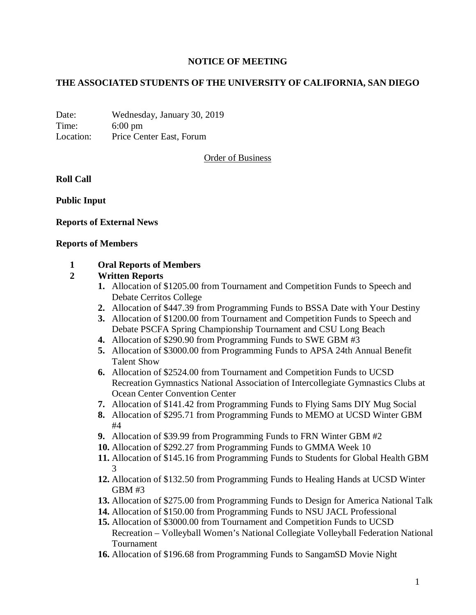# **NOTICE OF MEETING**

# **THE ASSOCIATED STUDENTS OF THE UNIVERSITY OF CALIFORNIA, SAN DIEGO**

Date: Wednesday, January 30, 2019 Time: 6:00 pm Location: Price Center East, Forum

Order of Business

**Roll Call**

**Public Input**

## **Reports of External News**

#### **Reports of Members**

## **1 Oral Reports of Members**

## **2 Written Reports**

- **1.** Allocation of \$1205.00 from Tournament and Competition Funds to Speech and Debate Cerritos College
- **2.** Allocation of \$447.39 from Programming Funds to BSSA Date with Your Destiny
- **3.** Allocation of \$1200.00 from Tournament and Competition Funds to Speech and Debate PSCFA Spring Championship Tournament and CSU Long Beach
- **4.** Allocation of \$290.90 from Programming Funds to SWE GBM #3
- **5.** Allocation of \$3000.00 from Programming Funds to APSA 24th Annual Benefit Talent Show
- **6.** Allocation of \$2524.00 from Tournament and Competition Funds to UCSD Recreation Gymnastics National Association of Intercollegiate Gymnastics Clubs at Ocean Center Convention Center
- **7.** Allocation of \$141.42 from Programming Funds to Flying Sams DIY Mug Social
- **8.** Allocation of \$295.71 from Programming Funds to MEMO at UCSD Winter GBM #4
- **9.** Allocation of \$39.99 from Programming Funds to FRN Winter GBM #2
- **10.** Allocation of \$292.27 from Programming Funds to GMMA Week 10
- **11.** Allocation of \$145.16 from Programming Funds to Students for Global Health GBM 3
- **12.** Allocation of \$132.50 from Programming Funds to Healing Hands at UCSD Winter GBM #3
- **13.** Allocation of \$275.00 from Programming Funds to Design for America National Talk
- **14.** Allocation of \$150.00 from Programming Funds to NSU JACL Professional
- **15.** Allocation of \$3000.00 from Tournament and Competition Funds to UCSD Recreation – Volleyball Women's National Collegiate Volleyball Federation National Tournament
- **16.** Allocation of \$196.68 from Programming Funds to SangamSD Movie Night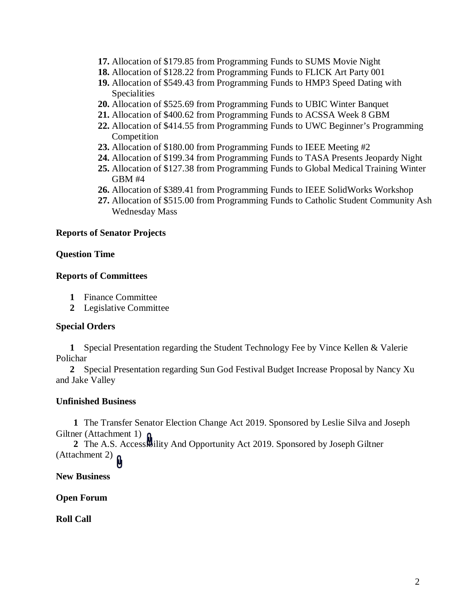- **17.** Allocation of \$179.85 from Programming Funds to SUMS Movie Night
- **18.** Allocation of \$128.22 from Programming Funds to FLICK Art Party 001
- **19.** Allocation of \$549.43 from Programming Funds to HMP3 Speed Dating with Specialities
- **20.** Allocation of \$525.69 from Programming Funds to UBIC Winter Banquet
- **21.** Allocation of \$400.62 from Programming Funds to ACSSA Week 8 GBM
- **22.** Allocation of \$414.55 from Programming Funds to UWC Beginner's Programming Competition
- **23.** Allocation of \$180.00 from Programming Funds to IEEE Meeting #2
- **24.** Allocation of \$199.34 from Programming Funds to TASA Presents Jeopardy Night
- **25.** Allocation of \$127.38 from Programming Funds to Global Medical Training Winter GBM #4
- **26.** Allocation of \$389.41 from Programming Funds to IEEE SolidWorks Workshop
- **27.** Allocation of \$515.00 from Programming Funds to Catholic Student Community Ash Wednesday Mass

## **Reports of Senator Projects**

#### **Question Time**

#### **Reports of Committees**

- **1** Finance Committee
- **2** Legislative Committee

## **Special Orders**

**1** Special Presentation regarding the Student Technology Fee by Vince Kellen & Valerie Polichar

**2** Special Presentation regarding Sun God Festival Budget Increase Proposal by Nancy Xu and Jake Valley

## **Unfinished Business**

**1** The Transfer Senator Election Change Act 2019. Sponsored by Leslie Silva and Joseph Giltner (Attachment 1)

**2** The A.S. Accessibility And Opportunity Act 2019. Sponsored by Joseph Giltner (Attachment 2)  $\mathbf{p}$ 

**New Business**

**Open Forum**

**Roll Call**